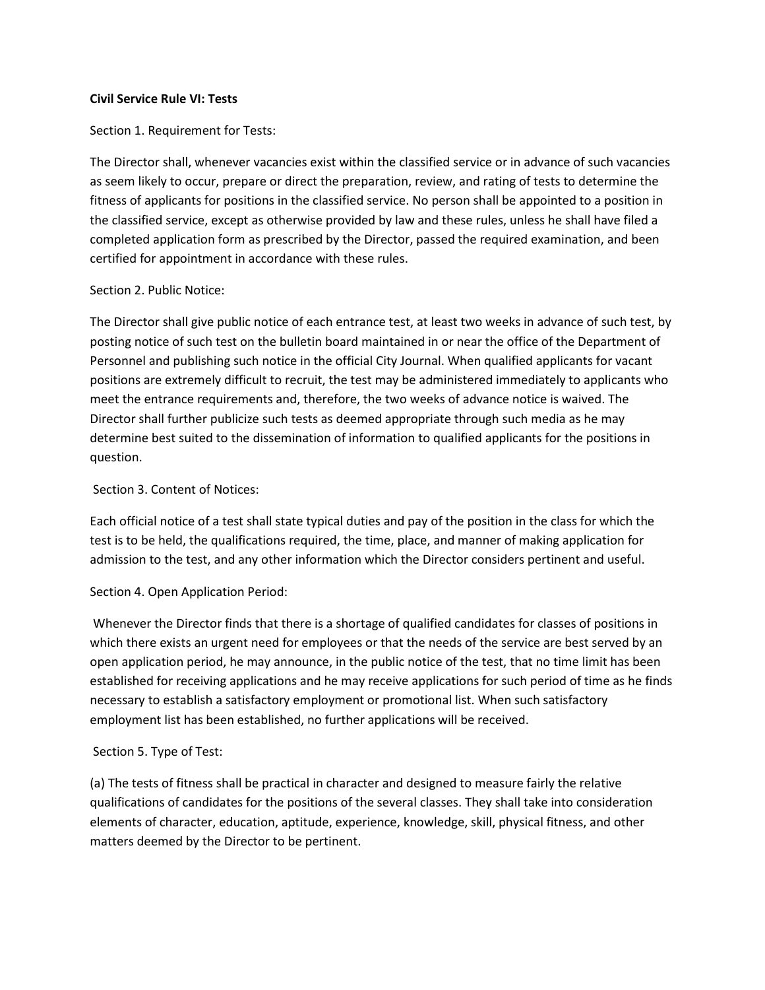### **Civil Service Rule VI: Tests**

Section 1. Requirement for Tests:

The Director shall, whenever vacancies exist within the classified service or in advance of such vacancies as seem likely to occur, prepare or direct the preparation, review, and rating of tests to determine the fitness of applicants for positions in the classified service. No person shall be appointed to a position in the classified service, except as otherwise provided by law and these rules, unless he shall have filed a completed application form as prescribed by the Director, passed the required examination, and been certified for appointment in accordance with these rules.

## Section 2. Public Notice:

The Director shall give public notice of each entrance test, at least two weeks in advance of such test, by posting notice of such test on the bulletin board maintained in or near the office of the Department of Personnel and publishing such notice in the official City Journal. When qualified applicants for vacant positions are extremely difficult to recruit, the test may be administered immediately to applicants who meet the entrance requirements and, therefore, the two weeks of advance notice is waived. The Director shall further publicize such tests as deemed appropriate through such media as he may determine best suited to the dissemination of information to qualified applicants for the positions in question.

## Section 3. Content of Notices:

Each official notice of a test shall state typical duties and pay of the position in the class for which the test is to be held, the qualifications required, the time, place, and manner of making application for admission to the test, and any other information which the Director considers pertinent and useful.

# Section 4. Open Application Period:

Whenever the Director finds that there is a shortage of qualified candidates for classes of positions in which there exists an urgent need for employees or that the needs of the service are best served by an open application period, he may announce, in the public notice of the test, that no time limit has been established for receiving applications and he may receive applications for such period of time as he finds necessary to establish a satisfactory employment or promotional list. When such satisfactory employment list has been established, no further applications will be received.

### Section 5. Type of Test:

(a) The tests of fitness shall be practical in character and designed to measure fairly the relative qualifications of candidates for the positions of the several classes. They shall take into consideration elements of character, education, aptitude, experience, knowledge, skill, physical fitness, and other matters deemed by the Director to be pertinent.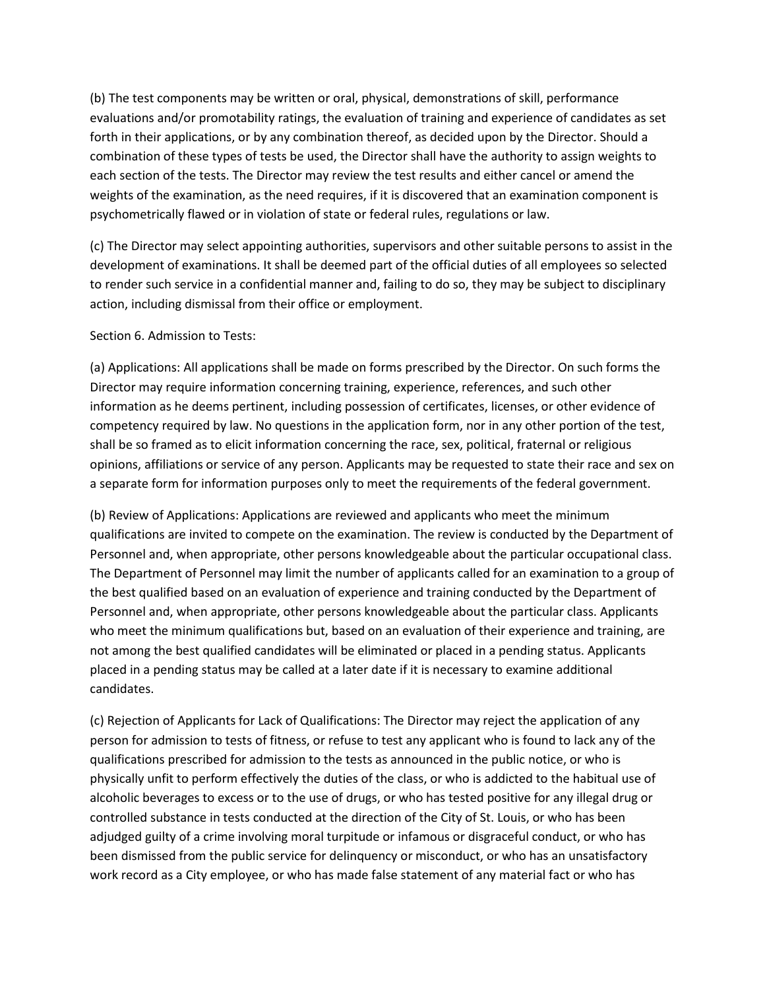(b) The test components may be written or oral, physical, demonstrations of skill, performance evaluations and/or promotability ratings, the evaluation of training and experience of candidates as set forth in their applications, or by any combination thereof, as decided upon by the Director. Should a combination of these types of tests be used, the Director shall have the authority to assign weights to each section of the tests. The Director may review the test results and either cancel or amend the weights of the examination, as the need requires, if it is discovered that an examination component is psychometrically flawed or in violation of state or federal rules, regulations or law.

(c) The Director may select appointing authorities, supervisors and other suitable persons to assist in the development of examinations. It shall be deemed part of the official duties of all employees so selected to render such service in a confidential manner and, failing to do so, they may be subject to disciplinary action, including dismissal from their office or employment.

### Section 6. Admission to Tests:

(a) Applications: All applications shall be made on forms prescribed by the Director. On such forms the Director may require information concerning training, experience, references, and such other information as he deems pertinent, including possession of certificates, licenses, or other evidence of competency required by law. No questions in the application form, nor in any other portion of the test, shall be so framed as to elicit information concerning the race, sex, political, fraternal or religious opinions, affiliations or service of any person. Applicants may be requested to state their race and sex on a separate form for information purposes only to meet the requirements of the federal government.

(b) Review of Applications: Applications are reviewed and applicants who meet the minimum qualifications are invited to compete on the examination. The review is conducted by the Department of Personnel and, when appropriate, other persons knowledgeable about the particular occupational class. The Department of Personnel may limit the number of applicants called for an examination to a group of the best qualified based on an evaluation of experience and training conducted by the Department of Personnel and, when appropriate, other persons knowledgeable about the particular class. Applicants who meet the minimum qualifications but, based on an evaluation of their experience and training, are not among the best qualified candidates will be eliminated or placed in a pending status. Applicants placed in a pending status may be called at a later date if it is necessary to examine additional candidates.

(c) Rejection of Applicants for Lack of Qualifications: The Director may reject the application of any person for admission to tests of fitness, or refuse to test any applicant who is found to lack any of the qualifications prescribed for admission to the tests as announced in the public notice, or who is physically unfit to perform effectively the duties of the class, or who is addicted to the habitual use of alcoholic beverages to excess or to the use of drugs, or who has tested positive for any illegal drug or controlled substance in tests conducted at the direction of the City of St. Louis, or who has been adjudged guilty of a crime involving moral turpitude or infamous or disgraceful conduct, or who has been dismissed from the public service for delinquency or misconduct, or who has an unsatisfactory work record as a City employee, or who has made false statement of any material fact or who has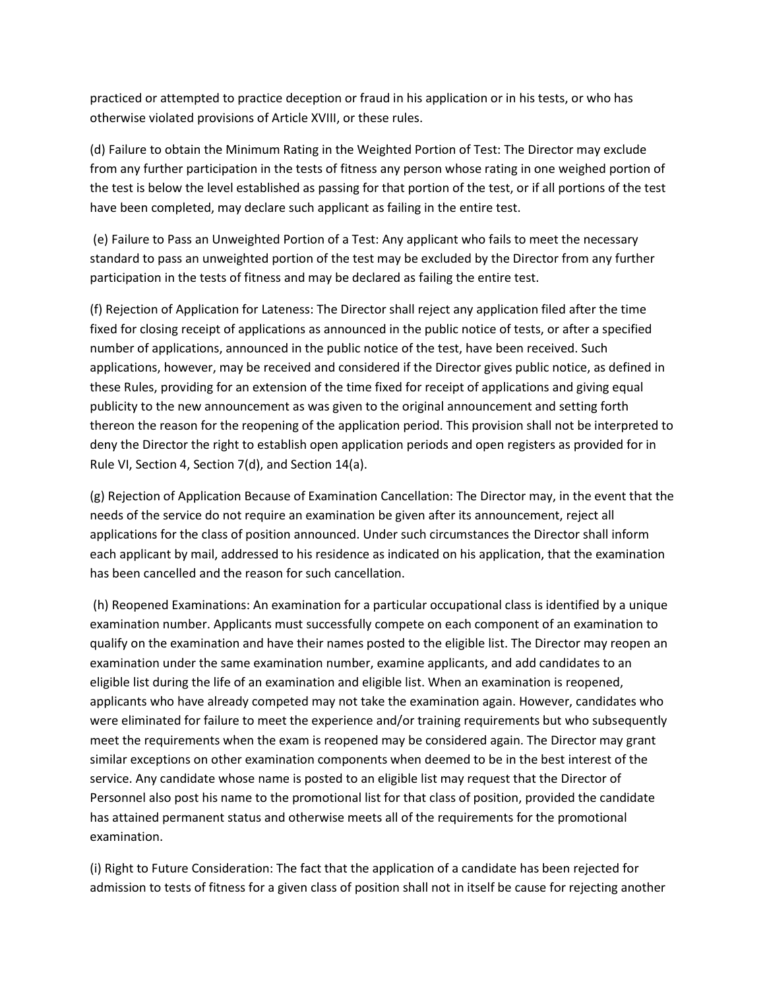practiced or attempted to practice deception or fraud in his application or in his tests, or who has otherwise violated provisions of Article XVIII, or these rules.

(d) Failure to obtain the Minimum Rating in the Weighted Portion of Test: The Director may exclude from any further participation in the tests of fitness any person whose rating in one weighed portion of the test is below the level established as passing for that portion of the test, or if all portions of the test have been completed, may declare such applicant as failing in the entire test.

(e) Failure to Pass an Unweighted Portion of a Test: Any applicant who fails to meet the necessary standard to pass an unweighted portion of the test may be excluded by the Director from any further participation in the tests of fitness and may be declared as failing the entire test.

(f) Rejection of Application for Lateness: The Director shall reject any application filed after the time fixed for closing receipt of applications as announced in the public notice of tests, or after a specified number of applications, announced in the public notice of the test, have been received. Such applications, however, may be received and considered if the Director gives public notice, as defined in these Rules, providing for an extension of the time fixed for receipt of applications and giving equal publicity to the new announcement as was given to the original announcement and setting forth thereon the reason for the reopening of the application period. This provision shall not be interpreted to deny the Director the right to establish open application periods and open registers as provided for in Rule VI, Section 4, Section 7(d), and Section 14(a).

(g) Rejection of Application Because of Examination Cancellation: The Director may, in the event that the needs of the service do not require an examination be given after its announcement, reject all applications for the class of position announced. Under such circumstances the Director shall inform each applicant by mail, addressed to his residence as indicated on his application, that the examination has been cancelled and the reason for such cancellation.

(h) Reopened Examinations: An examination for a particular occupational class is identified by a unique examination number. Applicants must successfully compete on each component of an examination to qualify on the examination and have their names posted to the eligible list. The Director may reopen an examination under the same examination number, examine applicants, and add candidates to an eligible list during the life of an examination and eligible list. When an examination is reopened, applicants who have already competed may not take the examination again. However, candidates who were eliminated for failure to meet the experience and/or training requirements but who subsequently meet the requirements when the exam is reopened may be considered again. The Director may grant similar exceptions on other examination components when deemed to be in the best interest of the service. Any candidate whose name is posted to an eligible list may request that the Director of Personnel also post his name to the promotional list for that class of position, provided the candidate has attained permanent status and otherwise meets all of the requirements for the promotional examination.

(i) Right to Future Consideration: The fact that the application of a candidate has been rejected for admission to tests of fitness for a given class of position shall not in itself be cause for rejecting another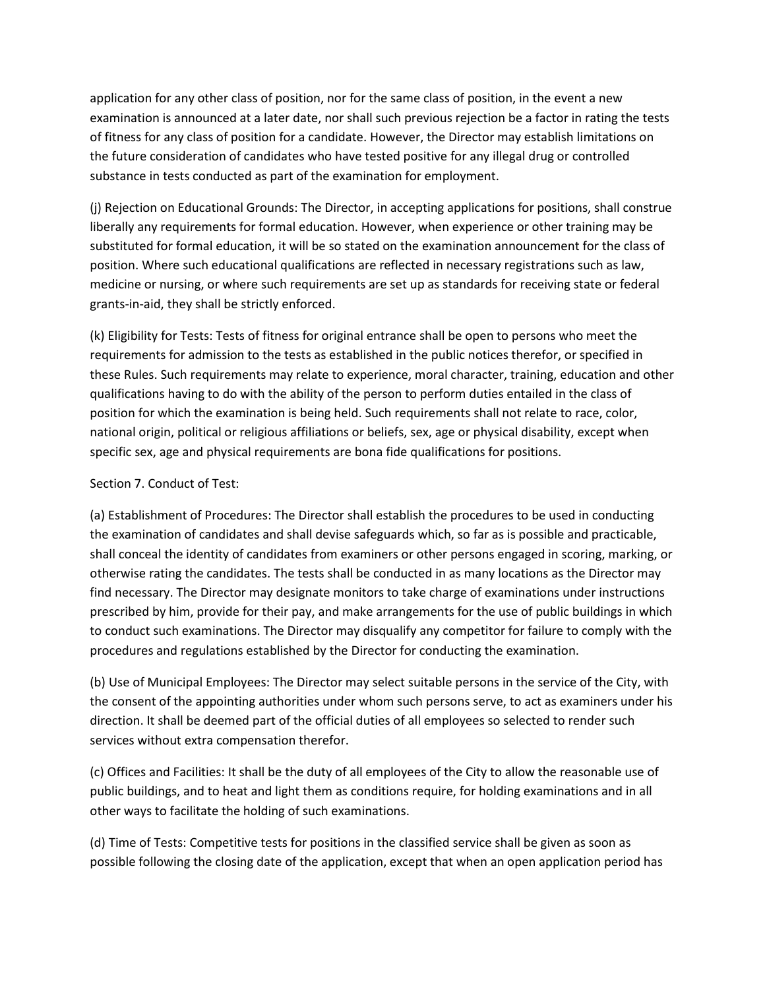application for any other class of position, nor for the same class of position, in the event a new examination is announced at a later date, nor shall such previous rejection be a factor in rating the tests of fitness for any class of position for a candidate. However, the Director may establish limitations on the future consideration of candidates who have tested positive for any illegal drug or controlled substance in tests conducted as part of the examination for employment.

(j) Rejection on Educational Grounds: The Director, in accepting applications for positions, shall construe liberally any requirements for formal education. However, when experience or other training may be substituted for formal education, it will be so stated on the examination announcement for the class of position. Where such educational qualifications are reflected in necessary registrations such as law, medicine or nursing, or where such requirements are set up as standards for receiving state or federal grants-in-aid, they shall be strictly enforced.

(k) Eligibility for Tests: Tests of fitness for original entrance shall be open to persons who meet the requirements for admission to the tests as established in the public notices therefor, or specified in these Rules. Such requirements may relate to experience, moral character, training, education and other qualifications having to do with the ability of the person to perform duties entailed in the class of position for which the examination is being held. Such requirements shall not relate to race, color, national origin, political or religious affiliations or beliefs, sex, age or physical disability, except when specific sex, age and physical requirements are bona fide qualifications for positions.

# Section 7. Conduct of Test:

(a) Establishment of Procedures: The Director shall establish the procedures to be used in conducting the examination of candidates and shall devise safeguards which, so far as is possible and practicable, shall conceal the identity of candidates from examiners or other persons engaged in scoring, marking, or otherwise rating the candidates. The tests shall be conducted in as many locations as the Director may find necessary. The Director may designate monitors to take charge of examinations under instructions prescribed by him, provide for their pay, and make arrangements for the use of public buildings in which to conduct such examinations. The Director may disqualify any competitor for failure to comply with the procedures and regulations established by the Director for conducting the examination.

(b) Use of Municipal Employees: The Director may select suitable persons in the service of the City, with the consent of the appointing authorities under whom such persons serve, to act as examiners under his direction. It shall be deemed part of the official duties of all employees so selected to render such services without extra compensation therefor.

(c) Offices and Facilities: It shall be the duty of all employees of the City to allow the reasonable use of public buildings, and to heat and light them as conditions require, for holding examinations and in all other ways to facilitate the holding of such examinations.

(d) Time of Tests: Competitive tests for positions in the classified service shall be given as soon as possible following the closing date of the application, except that when an open application period has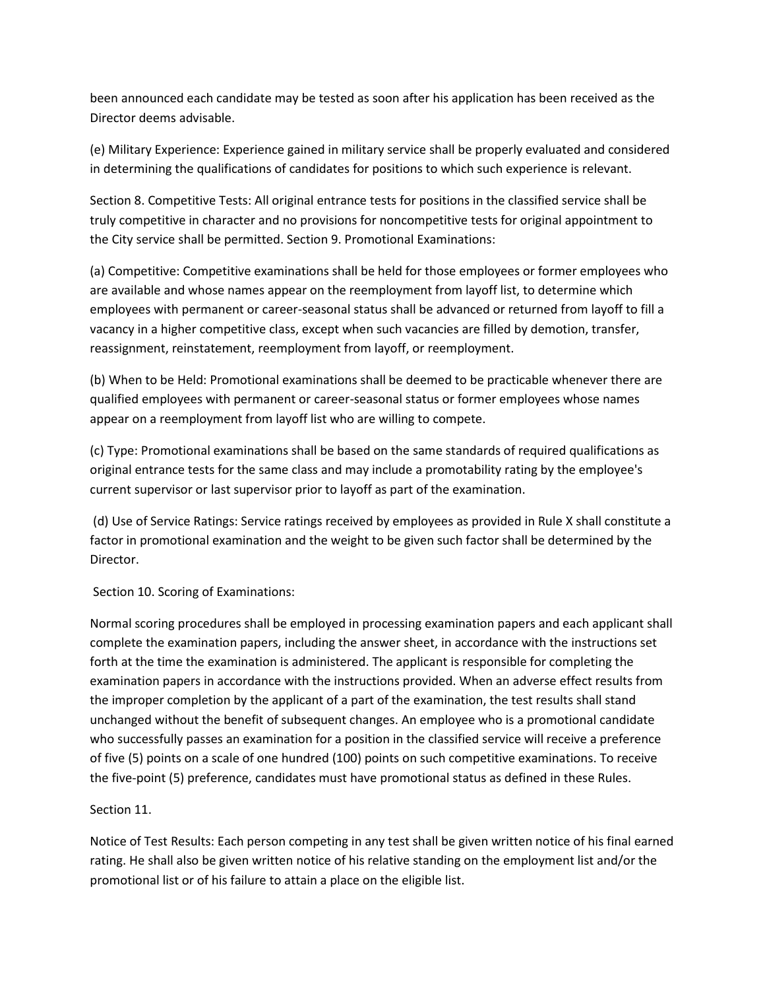been announced each candidate may be tested as soon after his application has been received as the Director deems advisable.

(e) Military Experience: Experience gained in military service shall be properly evaluated and considered in determining the qualifications of candidates for positions to which such experience is relevant.

Section 8. Competitive Tests: All original entrance tests for positions in the classified service shall be truly competitive in character and no provisions for noncompetitive tests for original appointment to the City service shall be permitted. Section 9. Promotional Examinations:

(a) Competitive: Competitive examinations shall be held for those employees or former employees who are available and whose names appear on the reemployment from layoff list, to determine which employees with permanent or career-seasonal status shall be advanced or returned from layoff to fill a vacancy in a higher competitive class, except when such vacancies are filled by demotion, transfer, reassignment, reinstatement, reemployment from layoff, or reemployment.

(b) When to be Held: Promotional examinations shall be deemed to be practicable whenever there are qualified employees with permanent or career-seasonal status or former employees whose names appear on a reemployment from layoff list who are willing to compete.

(c) Type: Promotional examinations shall be based on the same standards of required qualifications as original entrance tests for the same class and may include a promotability rating by the employee's current supervisor or last supervisor prior to layoff as part of the examination.

(d) Use of Service Ratings: Service ratings received by employees as provided in Rule X shall constitute a factor in promotional examination and the weight to be given such factor shall be determined by the Director.

Section 10. Scoring of Examinations:

Normal scoring procedures shall be employed in processing examination papers and each applicant shall complete the examination papers, including the answer sheet, in accordance with the instructions set forth at the time the examination is administered. The applicant is responsible for completing the examination papers in accordance with the instructions provided. When an adverse effect results from the improper completion by the applicant of a part of the examination, the test results shall stand unchanged without the benefit of subsequent changes. An employee who is a promotional candidate who successfully passes an examination for a position in the classified service will receive a preference of five (5) points on a scale of one hundred (100) points on such competitive examinations. To receive the five-point (5) preference, candidates must have promotional status as defined in these Rules.

# Section 11.

Notice of Test Results: Each person competing in any test shall be given written notice of his final earned rating. He shall also be given written notice of his relative standing on the employment list and/or the promotional list or of his failure to attain a place on the eligible list.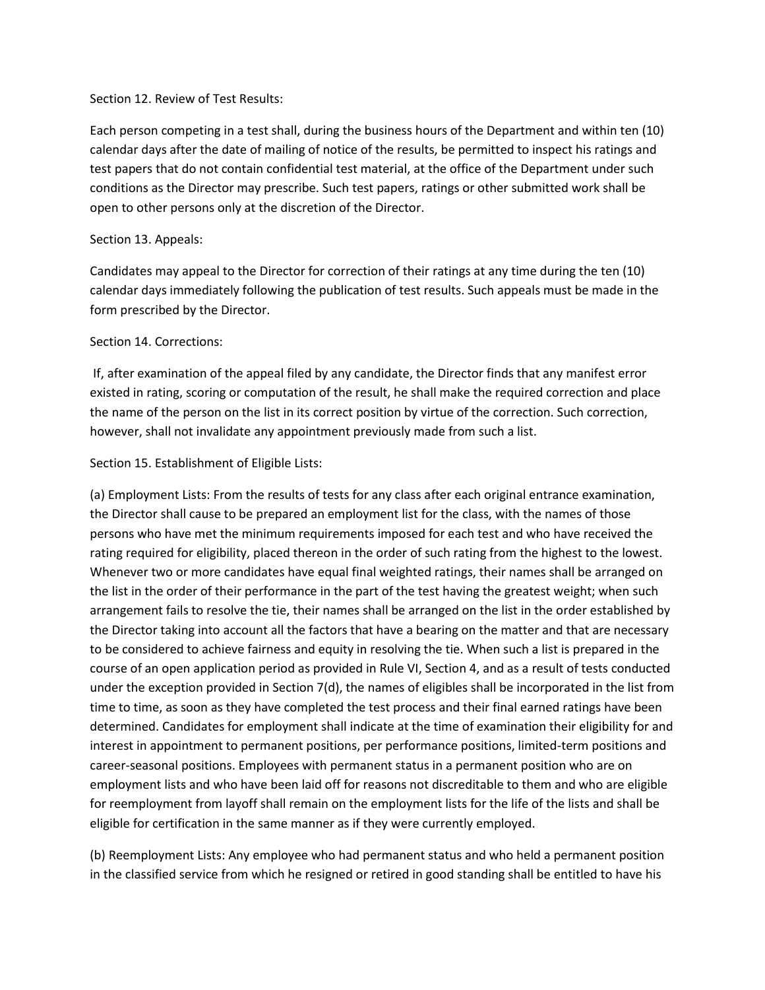## Section 12. Review of Test Results:

Each person competing in a test shall, during the business hours of the Department and within ten (10) calendar days after the date of mailing of notice of the results, be permitted to inspect his ratings and test papers that do not contain confidential test material, at the office of the Department under such conditions as the Director may prescribe. Such test papers, ratings or other submitted work shall be open to other persons only at the discretion of the Director.

## Section 13. Appeals:

Candidates may appeal to the Director for correction of their ratings at any time during the ten (10) calendar days immediately following the publication of test results. Such appeals must be made in the form prescribed by the Director.

## Section 14. Corrections:

If, after examination of the appeal filed by any candidate, the Director finds that any manifest error existed in rating, scoring or computation of the result, he shall make the required correction and place the name of the person on the list in its correct position by virtue of the correction. Such correction, however, shall not invalidate any appointment previously made from such a list.

# Section 15. Establishment of Eligible Lists:

(a) Employment Lists: From the results of tests for any class after each original entrance examination, the Director shall cause to be prepared an employment list for the class, with the names of those persons who have met the minimum requirements imposed for each test and who have received the rating required for eligibility, placed thereon in the order of such rating from the highest to the lowest. Whenever two or more candidates have equal final weighted ratings, their names shall be arranged on the list in the order of their performance in the part of the test having the greatest weight; when such arrangement fails to resolve the tie, their names shall be arranged on the list in the order established by the Director taking into account all the factors that have a bearing on the matter and that are necessary to be considered to achieve fairness and equity in resolving the tie. When such a list is prepared in the course of an open application period as provided in Rule VI, Section 4, and as a result of tests conducted under the exception provided in Section 7(d), the names of eligibles shall be incorporated in the list from time to time, as soon as they have completed the test process and their final earned ratings have been determined. Candidates for employment shall indicate at the time of examination their eligibility for and interest in appointment to permanent positions, per performance positions, limited-term positions and career-seasonal positions. Employees with permanent status in a permanent position who are on employment lists and who have been laid off for reasons not discreditable to them and who are eligible for reemployment from layoff shall remain on the employment lists for the life of the lists and shall be eligible for certification in the same manner as if they were currently employed.

(b) Reemployment Lists: Any employee who had permanent status and who held a permanent position in the classified service from which he resigned or retired in good standing shall be entitled to have his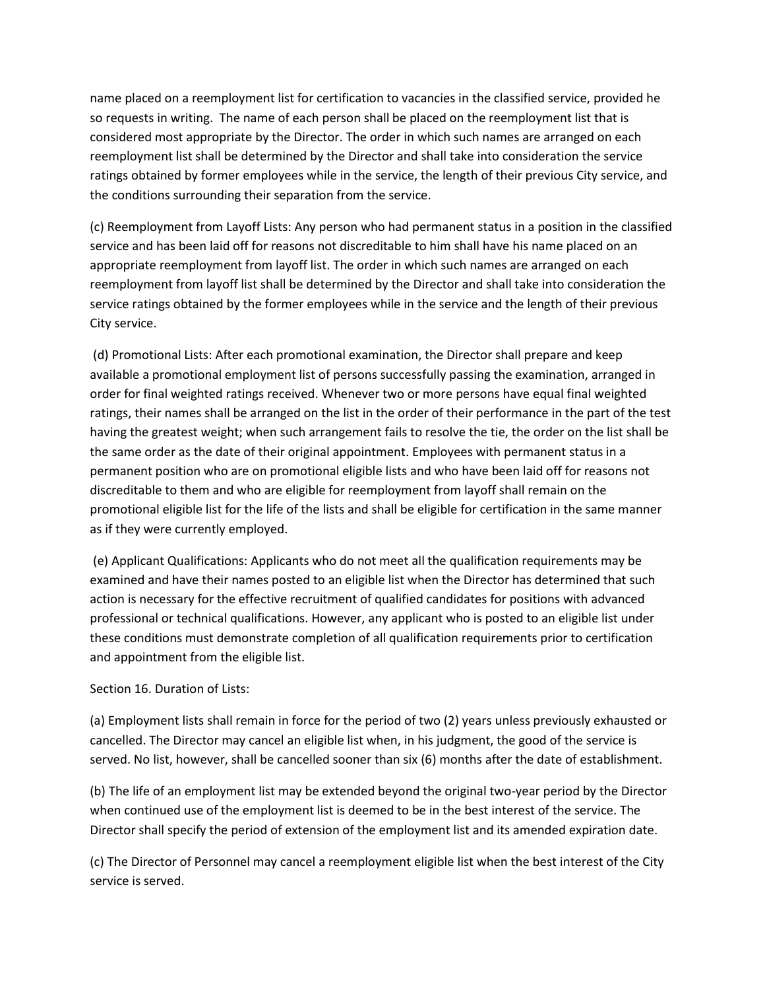name placed on a reemployment list for certification to vacancies in the classified service, provided he so requests in writing. The name of each person shall be placed on the reemployment list that is considered most appropriate by the Director. The order in which such names are arranged on each reemployment list shall be determined by the Director and shall take into consideration the service ratings obtained by former employees while in the service, the length of their previous City service, and the conditions surrounding their separation from the service.

(c) Reemployment from Layoff Lists: Any person who had permanent status in a position in the classified service and has been laid off for reasons not discreditable to him shall have his name placed on an appropriate reemployment from layoff list. The order in which such names are arranged on each reemployment from layoff list shall be determined by the Director and shall take into consideration the service ratings obtained by the former employees while in the service and the length of their previous City service.

(d) Promotional Lists: After each promotional examination, the Director shall prepare and keep available a promotional employment list of persons successfully passing the examination, arranged in order for final weighted ratings received. Whenever two or more persons have equal final weighted ratings, their names shall be arranged on the list in the order of their performance in the part of the test having the greatest weight; when such arrangement fails to resolve the tie, the order on the list shall be the same order as the date of their original appointment. Employees with permanent status in a permanent position who are on promotional eligible lists and who have been laid off for reasons not discreditable to them and who are eligible for reemployment from layoff shall remain on the promotional eligible list for the life of the lists and shall be eligible for certification in the same manner as if they were currently employed.

(e) Applicant Qualifications: Applicants who do not meet all the qualification requirements may be examined and have their names posted to an eligible list when the Director has determined that such action is necessary for the effective recruitment of qualified candidates for positions with advanced professional or technical qualifications. However, any applicant who is posted to an eligible list under these conditions must demonstrate completion of all qualification requirements prior to certification and appointment from the eligible list.

# Section 16. Duration of Lists:

(a) Employment lists shall remain in force for the period of two (2) years unless previously exhausted or cancelled. The Director may cancel an eligible list when, in his judgment, the good of the service is served. No list, however, shall be cancelled sooner than six (6) months after the date of establishment.

(b) The life of an employment list may be extended beyond the original two-year period by the Director when continued use of the employment list is deemed to be in the best interest of the service. The Director shall specify the period of extension of the employment list and its amended expiration date.

(c) The Director of Personnel may cancel a reemployment eligible list when the best interest of the City service is served.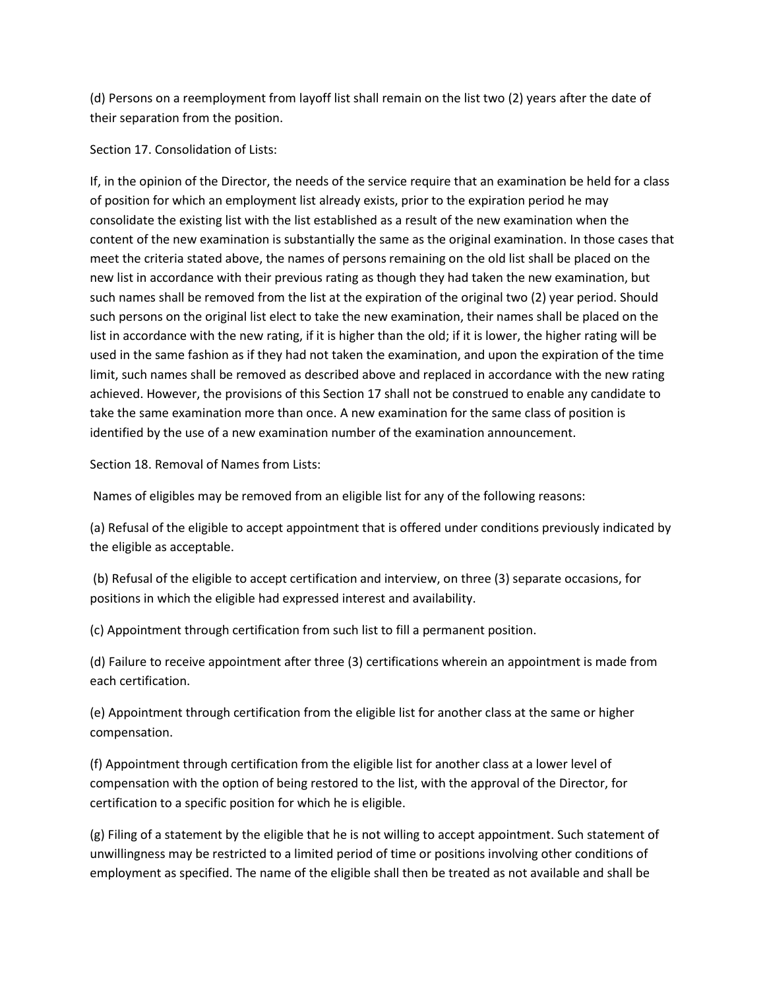(d) Persons on a reemployment from layoff list shall remain on the list two (2) years after the date of their separation from the position.

Section 17. Consolidation of Lists:

If, in the opinion of the Director, the needs of the service require that an examination be held for a class of position for which an employment list already exists, prior to the expiration period he may consolidate the existing list with the list established as a result of the new examination when the content of the new examination is substantially the same as the original examination. In those cases that meet the criteria stated above, the names of persons remaining on the old list shall be placed on the new list in accordance with their previous rating as though they had taken the new examination, but such names shall be removed from the list at the expiration of the original two (2) year period. Should such persons on the original list elect to take the new examination, their names shall be placed on the list in accordance with the new rating, if it is higher than the old; if it is lower, the higher rating will be used in the same fashion as if they had not taken the examination, and upon the expiration of the time limit, such names shall be removed as described above and replaced in accordance with the new rating achieved. However, the provisions of this Section 17 shall not be construed to enable any candidate to take the same examination more than once. A new examination for the same class of position is identified by the use of a new examination number of the examination announcement.

Section 18. Removal of Names from Lists:

Names of eligibles may be removed from an eligible list for any of the following reasons:

(a) Refusal of the eligible to accept appointment that is offered under conditions previously indicated by the eligible as acceptable.

(b) Refusal of the eligible to accept certification and interview, on three (3) separate occasions, for positions in which the eligible had expressed interest and availability.

(c) Appointment through certification from such list to fill a permanent position.

(d) Failure to receive appointment after three (3) certifications wherein an appointment is made from each certification.

(e) Appointment through certification from the eligible list for another class at the same or higher compensation.

(f) Appointment through certification from the eligible list for another class at a lower level of compensation with the option of being restored to the list, with the approval of the Director, for certification to a specific position for which he is eligible.

(g) Filing of a statement by the eligible that he is not willing to accept appointment. Such statement of unwillingness may be restricted to a limited period of time or positions involving other conditions of employment as specified. The name of the eligible shall then be treated as not available and shall be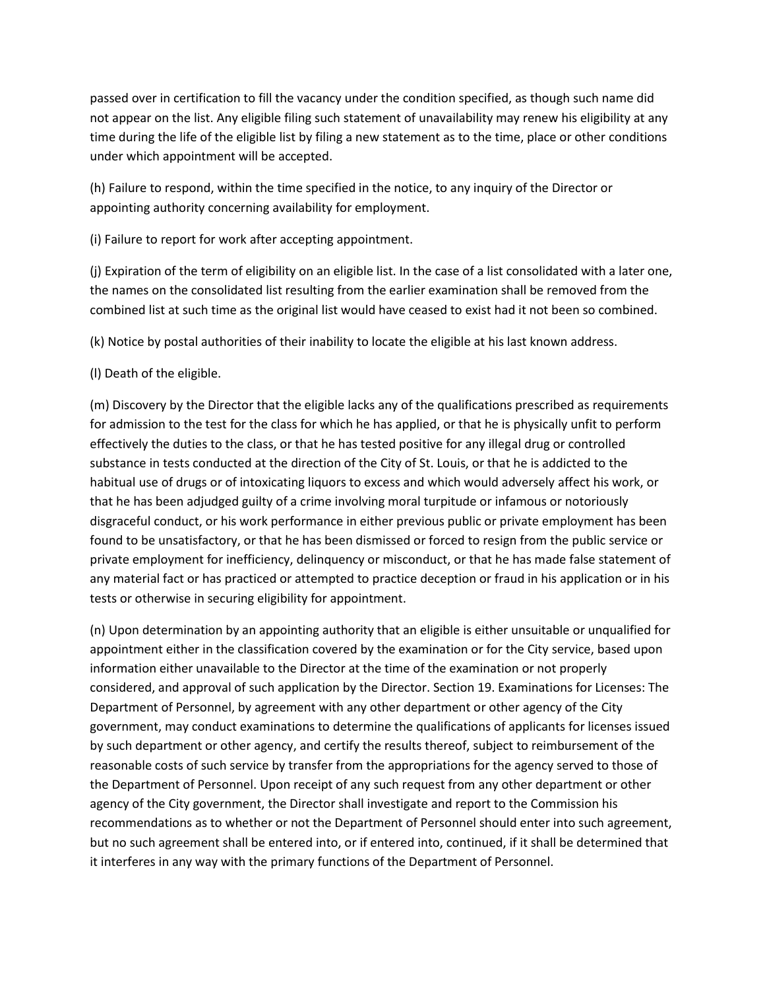passed over in certification to fill the vacancy under the condition specified, as though such name did not appear on the list. Any eligible filing such statement of unavailability may renew his eligibility at any time during the life of the eligible list by filing a new statement as to the time, place or other conditions under which appointment will be accepted.

(h) Failure to respond, within the time specified in the notice, to any inquiry of the Director or appointing authority concerning availability for employment.

(i) Failure to report for work after accepting appointment.

(j) Expiration of the term of eligibility on an eligible list. In the case of a list consolidated with a later one, the names on the consolidated list resulting from the earlier examination shall be removed from the combined list at such time as the original list would have ceased to exist had it not been so combined.

(k) Notice by postal authorities of their inability to locate the eligible at his last known address.

# (l) Death of the eligible.

(m) Discovery by the Director that the eligible lacks any of the qualifications prescribed as requirements for admission to the test for the class for which he has applied, or that he is physically unfit to perform effectively the duties to the class, or that he has tested positive for any illegal drug or controlled substance in tests conducted at the direction of the City of St. Louis, or that he is addicted to the habitual use of drugs or of intoxicating liquors to excess and which would adversely affect his work, or that he has been adjudged guilty of a crime involving moral turpitude or infamous or notoriously disgraceful conduct, or his work performance in either previous public or private employment has been found to be unsatisfactory, or that he has been dismissed or forced to resign from the public service or private employment for inefficiency, delinquency or misconduct, or that he has made false statement of any material fact or has practiced or attempted to practice deception or fraud in his application or in his tests or otherwise in securing eligibility for appointment.

(n) Upon determination by an appointing authority that an eligible is either unsuitable or unqualified for appointment either in the classification covered by the examination or for the City service, based upon information either unavailable to the Director at the time of the examination or not properly considered, and approval of such application by the Director. Section 19. Examinations for Licenses: The Department of Personnel, by agreement with any other department or other agency of the City government, may conduct examinations to determine the qualifications of applicants for licenses issued by such department or other agency, and certify the results thereof, subject to reimbursement of the reasonable costs of such service by transfer from the appropriations for the agency served to those of the Department of Personnel. Upon receipt of any such request from any other department or other agency of the City government, the Director shall investigate and report to the Commission his recommendations as to whether or not the Department of Personnel should enter into such agreement, but no such agreement shall be entered into, or if entered into, continued, if it shall be determined that it interferes in any way with the primary functions of the Department of Personnel.